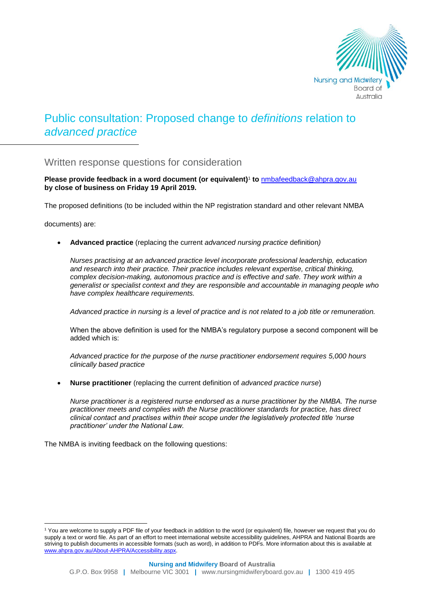

# Public consultation: Proposed change to *definitions* relation to *advanced practice*

# Written response questions for consideration

**Please provide feedback in a word document (or equivalent)**<sup>1</sup> **to** [nmbafeedback@ahpra.gov.au](mailto:nmbafeedback@ahpra.gov.au) **by close of business on Friday 19 April 2019.**

The proposed definitions (to be included within the NP registration standard and other relevant NMBA

documents) are:

**Advanced practice** (replacing the current *advanced nursing practice* definition*)* 

*Nurses practising at an advanced practice level incorporate professional leadership, education and research into their practice. Their practice includes relevant expertise, critical thinking,*  complex decision-making, autonomous practice and is effective and safe. They work within a *generalist or specialist context and they are responsible and accountable in managing people who have complex healthcare requirements.* 

*Advanced practice in nursing is a level of practice and is not related to a job title or remuneration.* 

When the above definition is used for the NMBA's regulatory purpose a second component will be added which is:

*Advanced practice for the purpose of the nurse practitioner endorsement requires 5,000 hours clinically based practice* 

**Nurse practitioner** (replacing the current definition of *advanced practice nurse*)

*Nurse practitioner is a registered nurse endorsed as a nurse practitioner by the NMBA. The nurse practitioner meets and complies with the Nurse practitioner standards for practice, has direct clinical contact and practises within their scope under the legislatively protected title 'nurse practitioner' under the National Law.* 

The NMBA is inviting feedback on the following questions:

l <sup>1</sup> You are welcome to supply a PDF file of your feedback in addition to the word (or equivalent) file, however we request that you do supply a text or word file. As part of an effort to meet international website accessibility guidelines, AHPRA and National Boards are striving to publish documents in accessible formats (such as word), in addition to PDFs. More information about this is available at [www.ahpra.gov.au/About-AHPRA/Accessibility.aspx.](http://www.ahpra.gov.au/About-AHPRA/Accessibility.aspx)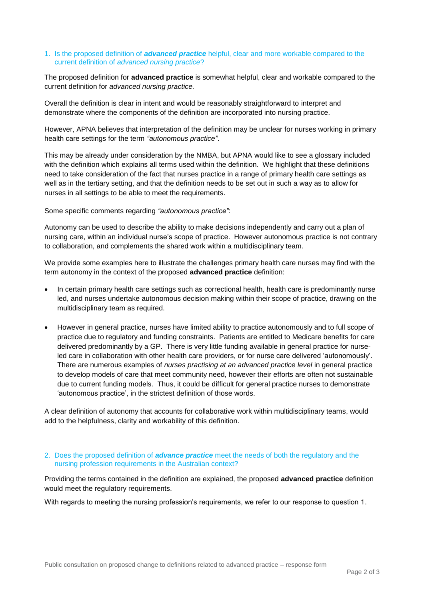# 1. Is the proposed definition of *advanced practice* helpful, clear and more workable compared to the current definition of *advanced nursing practice*?

The proposed definition for **advanced practice** is somewhat helpful, clear and workable compared to the current definition for *advanced nursing practice.* 

Overall the definition is clear in intent and would be reasonably straightforward to interpret and demonstrate where the components of the definition are incorporated into nursing practice.

However, APNA believes that interpretation of the definition may be unclear for nurses working in primary health care settings for the term *"autonomous practice"*.

This may be already under consideration by the NMBA, but APNA would like to see a glossary included with the definition which explains all terms used within the definition. We highlight that these definitions need to take consideration of the fact that nurses practice in a range of primary health care settings as well as in the tertiary setting, and that the definition needs to be set out in such a way as to allow for nurses in all settings to be able to meet the requirements.

Some specific comments regarding *"autonomous practice"*:

Autonomy can be used to describe the ability to make decisions independently and carry out a plan of nursing care, within an individual nurse's scope of practice. However autonomous practice is not contrary to collaboration, and complements the shared work within a multidisciplinary team.

We provide some examples here to illustrate the challenges primary health care nurses may find with the term autonomy in the context of the proposed **advanced practice** definition:

- In certain primary health care settings such as correctional health, health care is predominantly nurse led, and nurses undertake autonomous decision making within their scope of practice, drawing on the multidisciplinary team as required.
- However in general practice, nurses have limited ability to practice autonomously and to full scope of practice due to regulatory and funding constraints. Patients are entitled to Medicare benefits for care delivered predominantly by a GP. There is very little funding available in general practice for nurseled care in collaboration with other health care providers, or for nurse care delivered 'autonomously'. There are numerous examples of *nurses practising at an advanced practice level* in general practice to develop models of care that meet community need, however their efforts are often not sustainable due to current funding models. Thus, it could be difficult for general practice nurses to demonstrate 'autonomous practice', in the strictest definition of those words.

A clear definition of autonomy that accounts for collaborative work within multidisciplinary teams, would add to the helpfulness, clarity and workability of this definition.

# 2. Does the proposed definition of *advance practice* meet the needs of both the regulatory and the nursing profession requirements in the Australian context?

Providing the terms contained in the definition are explained, the proposed **advanced practice** definition would meet the regulatory requirements.

With regards to meeting the nursing profession's requirements, we refer to our response to question 1.